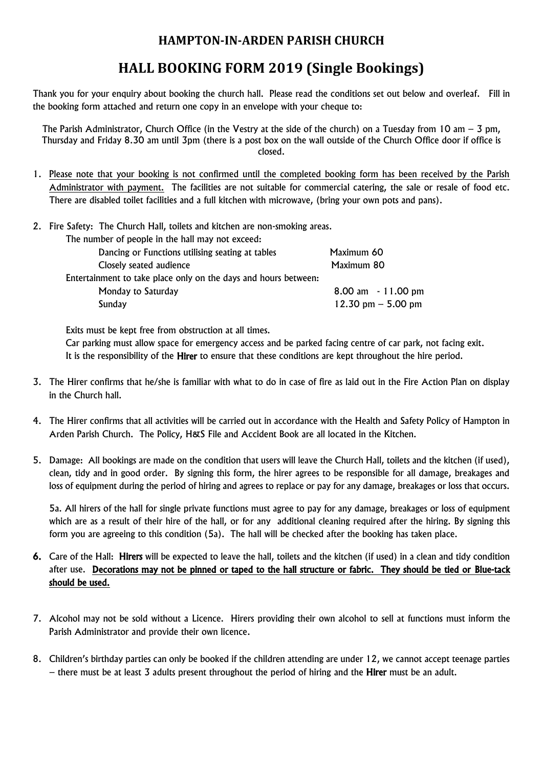## **HAMPTON-IN-ARDEN PARISH CHURCH**

## **HALL BOOKING FORM 2019 (Single Bookings)**

Thank you for your enquiry about booking the church hall. Please read the conditions set out below and overleaf. Fill in the booking form attached and return one copy in an envelope with your cheque to:

The Parish Administrator, Church Office (in the Vestry at the side of the church) on a Tuesday from 10 am – 3 pm, Thursday and Friday 8.30 am until 3pm (there is a post box on the wall outside of the Church Office door if office is closed.

- 1. Please note that your booking is not confirmed until the completed booking form has been received by the Parish Administrator with payment. The facilities are not suitable for commercial catering, the sale or resale of food etc. There are disabled toilet facilities and a full kitchen with microwave, (bring your own pots and pans).
- 2. Fire Safety: The Church Hall, toilets and kitchen are non-smoking areas.

| The number of people in the hall may not exceed:                |                      |
|-----------------------------------------------------------------|----------------------|
| Dancing or Functions utilising seating at tables                | Maximum 60           |
| Closely seated audience                                         | Maximum 80           |
| Entertainment to take place only on the days and hours between: |                      |
| Monday to Saturday                                              | 8.00 am - 11.00 pm   |
| Sunday                                                          | 12.30 pm $-$ 5.00 pm |
|                                                                 |                      |

Exits must be kept free from obstruction at all times.

Car parking must allow space for emergency access and be parked facing centre of car park, not facing exit. It is the responsibility of the Hirer to ensure that these conditions are kept throughout the hire period.

- 3. The Hirer confirms that he/she is familiar with what to do in case of fire as laid out in the Fire Action Plan on display in the Church hall.
- 4. The Hirer confirms that all activities will be carried out in accordance with the Health and Safety Policy of Hampton in Arden Parish Church. The Policy, H&S File and Accident Book are all located in the Kitchen.
- 5. Damage: All bookings are made on the condition that users will leave the Church Hall, toilets and the kitchen (if used), clean, tidy and in good order. By signing this form, the hirer agrees to be responsible for all damage, breakages and loss of equipment during the period of hiring and agrees to replace or pay for any damage, breakages or loss that occurs.

5a. All hirers of the hall for single private functions must agree to pay for any damage, breakages or loss of equipment which are as a result of their hire of the hall, or for any additional cleaning required after the hiring. By signing this form you are agreeing to this condition (5a). The hall will be checked after the booking has taken place.

- 6. Care of the Hall: Hirers will be expected to leave the hall, toilets and the kitchen (if used) in a clean and tidy condition after use. Decorations may not be pinned or taped to the hall structure or fabric. They should be tied or Blue-tack should be used.
- 7. Alcohol may not be sold without a Licence. Hirers providing their own alcohol to sell at functions must inform the Parish Administrator and provide their own licence.
- 8. Children's birthday parties can only be booked if the children attending are under 12, we cannot accept teenage parties – there must be at least 3 adults present throughout the period of hiring and the Hirer must be an adult.